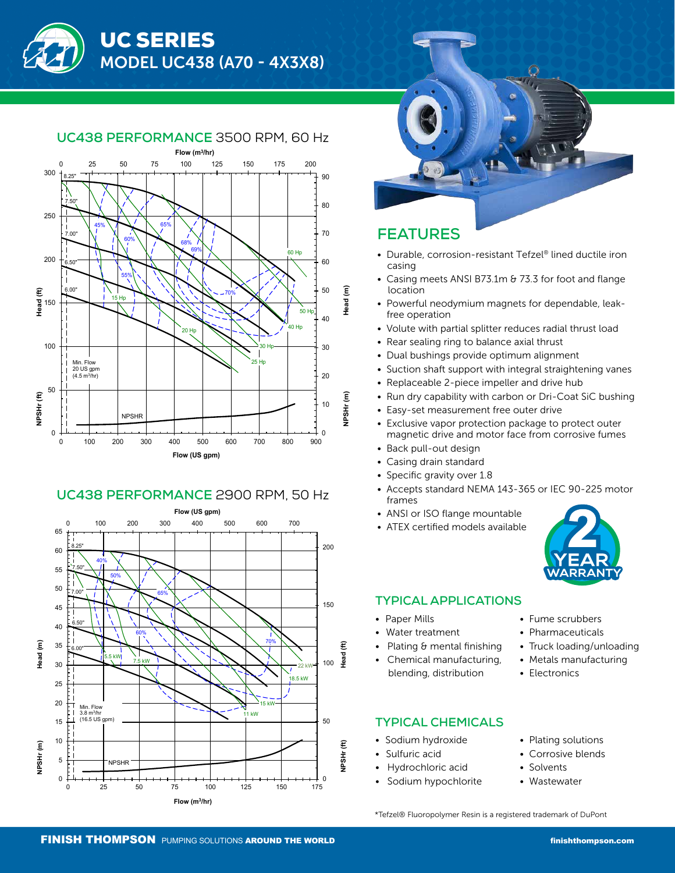



## **UC438 PERFORMANCE** 3500 RPM, 60 Hz







## **FEATURES**

- Durable, corrosion-resistant Tefzel® lined ductile iron casing
- Casing meets ANSI B73.1m & 73.3 for foot and flange location
- Powerful neodymium magnets for dependable, leak free operation
- Volute with partial splitter reduces radial thrust load
- Rear sealing ring to balance axial thrust
- Dual bushings provide optimum alignment
- Suction shaft support with integral straightening vanes
- Replaceable 2-piece impeller and drive hub
- Run dry capability with carbon or Dri-Coat SiC bushing
- Easy-set measurement free outer drive
- Exclusive vapor protection package to protect outer magnetic drive and motor face from corrosive fumes
- Back pull-out design
- Casing drain standard
- Specific gravity over 1.8
- Accepts standard NEMA 143-365 or IEC 90-225 motor frames
- ANSI or ISO flange mountable
- ATEX certified models available



• Truck loading/unloading • Metals manufacturing

## **TYPICAL APPLICATIONS**

- Paper Mills
	- Water treatment
- Plating & mental finishing
- Chemical manufacturing,
- blending, distribution

## **TYPICAL CHEMICALS**

- Sodium hydroxide
- Sulfuric acid
- Hydrochloric acid
- Sodium hypochlorite
- Plating solutions

• Fume scrubbers • Pharmaceuticals

• Electronics

- Corrosive blends
- Solvents
- **Wastewater**

\*Tefzel® Fluoropolymer Resin is a registered trademark of DuPont